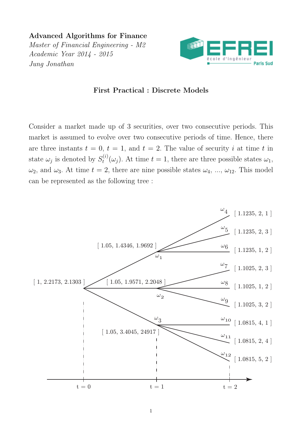Advanced Algorithms for Finance Master of Financial Engineering - M2 Academic Year 2014 - 2015 Jung Jonathan



## First Practical : Discrete Models

Consider a market made up of 3 securities, over two consecutive periods. This market is assumed to evolve over two consecutive periods of time. Hence, there are three instants  $t = 0, t = 1$ , and  $t = 2$ . The value of security i at time t in state  $\omega_j$  is denoted by  $S_t^{(i)}$  $t_t^{(i)}(\omega_j)$ . At time  $t=1$ , there are three possible states  $\omega_1$ ,  $\omega_2$ , and  $\omega_3$ . At time  $t = 2$ , there are nine possible states  $\omega_4$ , ...,  $\omega_{12}$ . This model can be represented as the following tree :